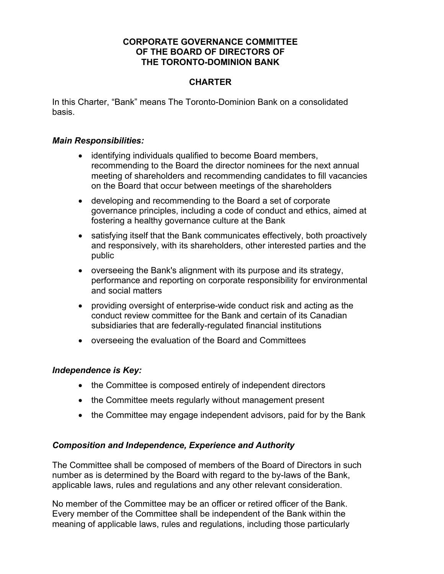## **CORPORATE GOVERNANCE COMMITTEE OF THE BOARD OF DIRECTORS OF THE TORONTO-DOMINION BANK**

# **CHARTER**

In this Charter, "Bank" means The Toronto-Dominion Bank on a consolidated basis.

## *Main Responsibilities:*

- identifying individuals qualified to become Board members, recommending to the Board the director nominees for the next annual meeting of shareholders and recommending candidates to fill vacancies on the Board that occur between meetings of the shareholders
- developing and recommending to the Board a set of corporate governance principles, including a code of conduct and ethics, aimed at fostering a healthy governance culture at the Bank
- satisfying itself that the Bank communicates effectively, both proactively and responsively, with its shareholders, other interested parties and the public
- overseeing the Bank's alignment with its purpose and its strategy, performance and reporting on corporate responsibility for environmental and social matters
- providing oversight of enterprise-wide conduct risk and acting as the conduct review committee for the Bank and certain of its Canadian subsidiaries that are federally-regulated financial institutions
- overseeing the evaluation of the Board and Committees

## *Independence is Key:*

- the Committee is composed entirely of independent directors
- the Committee meets regularly without management present
- the Committee may engage independent advisors, paid for by the Bank

## *Composition and Independence, Experience and Authority*

The Committee shall be composed of members of the Board of Directors in such number as is determined by the Board with regard to the by-laws of the Bank, applicable laws, rules and regulations and any other relevant consideration.

No member of the Committee may be an officer or retired officer of the Bank. Every member of the Committee shall be independent of the Bank within the meaning of applicable laws, rules and regulations, including those particularly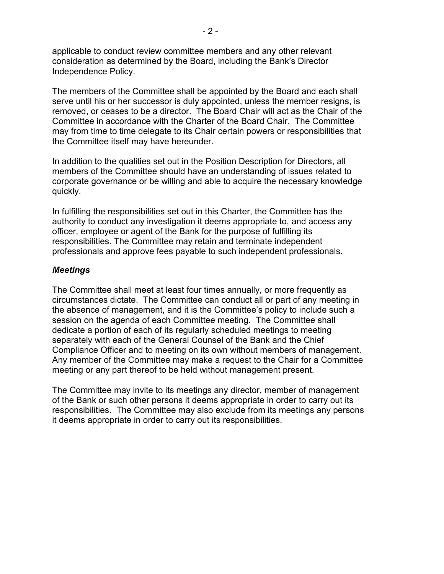applicable to conduct review committee members and any other relevant consideration as determined by the Board, including the Bank's Director Independence Policy.

The members of the Committee shall be appointed by the Board and each shall serve until his or her successor is duly appointed, unless the member resigns, is removed, or ceases to be a director. The Board Chair will act as the Chair of the Committee in accordance with the Charter of the Board Chair. The Committee may from time to time delegate to its Chair certain powers or responsibilities that the Committee itself may have hereunder.

In addition to the qualities set out in the Position Description for Directors, all members of the Committee should have an understanding of issues related to corporate governance or be willing and able to acquire the necessary knowledge quickly.

In fulfilling the responsibilities set out in this Charter, the Committee has the authority to conduct any investigation it deems appropriate to, and access any officer, employee or agent of the Bank for the purpose of fulfilling its responsibilities. The Committee may retain and terminate independent professionals and approve fees payable to such independent professionals.

## *Meetings*

The Committee shall meet at least four times annually, or more frequently as circumstances dictate. The Committee can conduct all or part of any meeting in the absence of management, and it is the Committee's policy to include such a session on the agenda of each Committee meeting. The Committee shall dedicate a portion of each of its regularly scheduled meetings to meeting separately with each of the General Counsel of the Bank and the Chief Compliance Officer and to meeting on its own without members of management. Any member of the Committee may make a request to the Chair for a Committee meeting or any part thereof to be held without management present.

The Committee may invite to its meetings any director, member of management of the Bank or such other persons it deems appropriate in order to carry out its responsibilities. The Committee may also exclude from its meetings any persons it deems appropriate in order to carry out its responsibilities.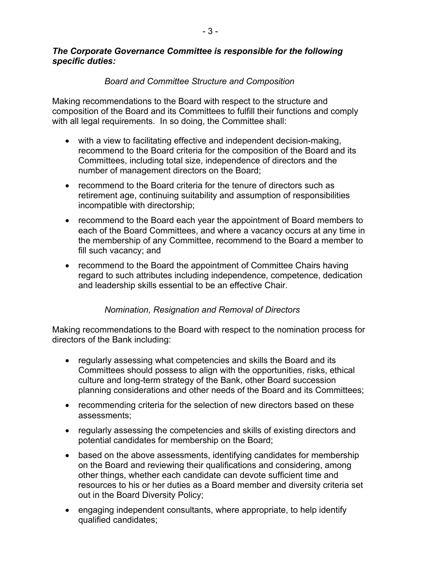## *The Corporate Governance Committee is responsible for the following specific duties:*

# *Board and Committee Structure and Composition*

Making recommendations to the Board with respect to the structure and composition of the Board and its Committees to fulfill their functions and comply with all legal requirements. In so doing, the Committee shall:

- with a view to facilitating effective and independent decision-making, recommend to the Board criteria for the composition of the Board and its Committees, including total size, independence of directors and the number of management directors on the Board;
- recommend to the Board criteria for the tenure of directors such as retirement age, continuing suitability and assumption of responsibilities incompatible with directorship;
- recommend to the Board each year the appointment of Board members to each of the Board Committees, and where a vacancy occurs at any time in the membership of any Committee, recommend to the Board a member to fill such vacancy; and
- recommend to the Board the appointment of Committee Chairs having regard to such attributes including independence, competence, dedication and leadership skills essential to be an effective Chair.

## *Nomination, Resignation and Removal of Directors*

Making recommendations to the Board with respect to the nomination process for directors of the Bank including:

- regularly assessing what competencies and skills the Board and its Committees should possess to align with the opportunities, risks, ethical culture and long-term strategy of the Bank, other Board succession planning considerations and other needs of the Board and its Committees;
- recommending criteria for the selection of new directors based on these assessments;
- regularly assessing the competencies and skills of existing directors and potential candidates for membership on the Board;
- based on the above assessments, identifying candidates for membership on the Board and reviewing their qualifications and considering, among other things, whether each candidate can devote sufficient time and resources to his or her duties as a Board member and diversity criteria set out in the Board Diversity Policy;
- engaging independent consultants, where appropriate, to help identify qualified candidates;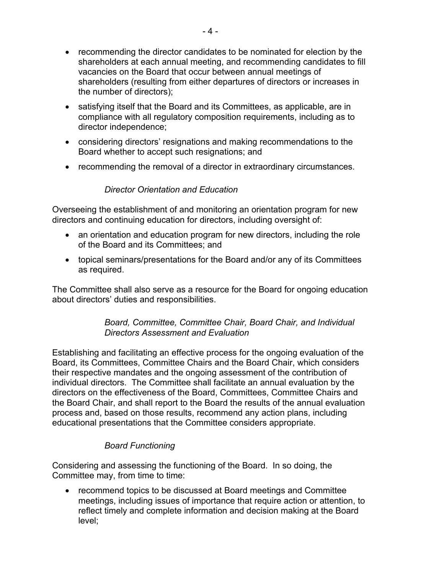- recommending the director candidates to be nominated for election by the shareholders at each annual meeting, and recommending candidates to fill vacancies on the Board that occur between annual meetings of shareholders (resulting from either departures of directors or increases in the number of directors);
- satisfying itself that the Board and its Committees, as applicable, are in compliance with all regulatory composition requirements, including as to director independence;
- considering directors' resignations and making recommendations to the Board whether to accept such resignations; and
- recommending the removal of a director in extraordinary circumstances.

# *Director Orientation and Education*

Overseeing the establishment of and monitoring an orientation program for new directors and continuing education for directors, including oversight of:

- an orientation and education program for new directors, including the role of the Board and its Committees; and
- topical seminars/presentations for the Board and/or any of its Committees as required.

The Committee shall also serve as a resource for the Board for ongoing education about directors' duties and responsibilities.

# *Board, Committee, Committee Chair, Board Chair, and Individual Directors Assessment and Evaluation*

Establishing and facilitating an effective process for the ongoing evaluation of the Board, its Committees, Committee Chairs and the Board Chair, which considers their respective mandates and the ongoing assessment of the contribution of individual directors. The Committee shall facilitate an annual evaluation by the directors on the effectiveness of the Board, Committees, Committee Chairs and the Board Chair, and shall report to the Board the results of the annual evaluation process and, based on those results, recommend any action plans, including educational presentations that the Committee considers appropriate.

# *Board Functioning*

Considering and assessing the functioning of the Board. In so doing, the Committee may, from time to time:

• recommend topics to be discussed at Board meetings and Committee meetings, including issues of importance that require action or attention, to reflect timely and complete information and decision making at the Board level;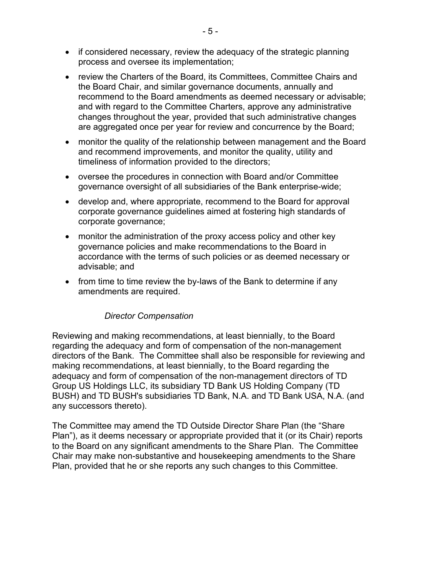- if considered necessary, review the adequacy of the strategic planning process and oversee its implementation;
- review the Charters of the Board, its Committees, Committee Chairs and the Board Chair, and similar governance documents, annually and recommend to the Board amendments as deemed necessary or advisable; and with regard to the Committee Charters, approve any administrative changes throughout the year, provided that such administrative changes are aggregated once per year for review and concurrence by the Board;
- monitor the quality of the relationship between management and the Board and recommend improvements, and monitor the quality, utility and timeliness of information provided to the directors;
- oversee the procedures in connection with Board and/or Committee governance oversight of all subsidiaries of the Bank enterprise-wide;
- develop and, where appropriate, recommend to the Board for approval corporate governance guidelines aimed at fostering high standards of corporate governance;
- monitor the administration of the proxy access policy and other key governance policies and make recommendations to the Board in accordance with the terms of such policies or as deemed necessary or advisable; and
- from time to time review the by-laws of the Bank to determine if any amendments are required.

# *Director Compensation*

Reviewing and making recommendations, at least biennially, to the Board regarding the adequacy and form of compensation of the non-management directors of the Bank. The Committee shall also be responsible for reviewing and making recommendations, at least biennially, to the Board regarding the adequacy and form of compensation of the non-management directors of TD Group US Holdings LLC, its subsidiary TD Bank US Holding Company (TD BUSH) and TD BUSH's subsidiaries TD Bank, N.A. and TD Bank USA, N.A. (and any successors thereto).

The Committee may amend the TD Outside Director Share Plan (the "Share Plan"), as it deems necessary or appropriate provided that it (or its Chair) reports to the Board on any significant amendments to the Share Plan. The Committee Chair may make non-substantive and housekeeping amendments to the Share Plan, provided that he or she reports any such changes to this Committee.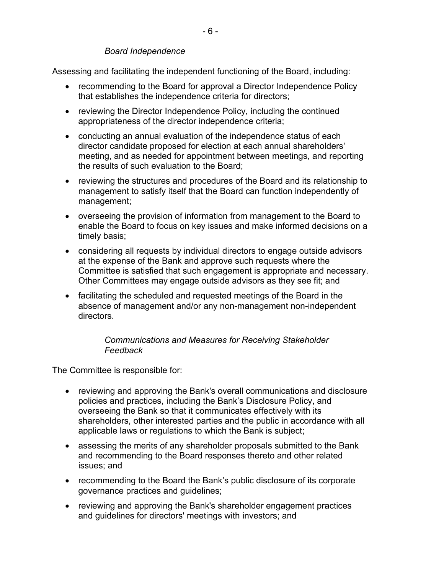## *Board Independence*

Assessing and facilitating the independent functioning of the Board, including:

- recommending to the Board for approval a Director Independence Policy that establishes the independence criteria for directors;
- reviewing the Director Independence Policy, including the continued appropriateness of the director independence criteria;
- conducting an annual evaluation of the independence status of each director candidate proposed for election at each annual shareholders' meeting, and as needed for appointment between meetings, and reporting the results of such evaluation to the Board;
- reviewing the structures and procedures of the Board and its relationship to management to satisfy itself that the Board can function independently of management;
- overseeing the provision of information from management to the Board to enable the Board to focus on key issues and make informed decisions on a timely basis;
- considering all requests by individual directors to engage outside advisors at the expense of the Bank and approve such requests where the Committee is satisfied that such engagement is appropriate and necessary. Other Committees may engage outside advisors as they see fit; and
- facilitating the scheduled and requested meetings of the Board in the absence of management and/or any non-management non-independent directors.

# *Communications and Measures for Receiving Stakeholder Feedback*

The Committee is responsible for:

- reviewing and approving the Bank's overall communications and disclosure policies and practices, including the Bank's Disclosure Policy, and overseeing the Bank so that it communicates effectively with its shareholders, other interested parties and the public in accordance with all applicable laws or regulations to which the Bank is subject;
- assessing the merits of any shareholder proposals submitted to the Bank and recommending to the Board responses thereto and other related issues; and
- recommending to the Board the Bank's public disclosure of its corporate governance practices and guidelines;
- reviewing and approving the Bank's shareholder engagement practices and guidelines for directors' meetings with investors; and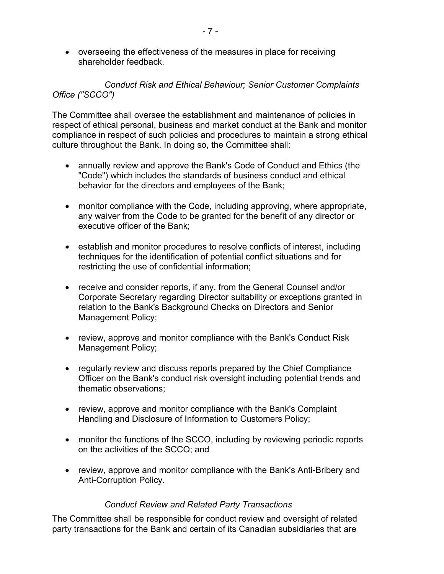• overseeing the effectiveness of the measures in place for receiving shareholder feedback.

# *Conduct Risk and Ethical Behaviour; Senior Customer Complaints Office ("SCCO")*

The Committee shall oversee the establishment and maintenance of policies in respect of ethical personal, business and market conduct at the Bank and monitor compliance in respect of such policies and procedures to maintain a strong ethical culture throughout the Bank. In doing so, the Committee shall:

- annually review and approve the Bank's Code of Conduct and Ethics (the "Code") which includes the standards of business conduct and ethical behavior for the directors and employees of the Bank;
- monitor compliance with the Code, including approving, where appropriate, any waiver from the Code to be granted for the benefit of any director or executive officer of the Bank;
- establish and monitor procedures to resolve conflicts of interest, including techniques for the identification of potential conflict situations and for restricting the use of confidential information;
- receive and consider reports, if any, from the General Counsel and/or Corporate Secretary regarding Director suitability or exceptions granted in relation to the Bank's Background Checks on Directors and Senior Management Policy;
- review, approve and monitor compliance with the Bank's Conduct Risk Management Policy;
- regularly review and discuss reports prepared by the Chief Compliance Officer on the Bank's conduct risk oversight including potential trends and thematic observations;
- review, approve and monitor compliance with the Bank's Complaint Handling and Disclosure of Information to Customers Policy;
- monitor the functions of the SCCO, including by reviewing periodic reports on the activities of the SCCO; and
- review, approve and monitor compliance with the Bank's Anti-Bribery and Anti-Corruption Policy.

# *Conduct Review and Related Party Transactions*

The Committee shall be responsible for conduct review and oversight of related party transactions for the Bank and certain of its Canadian subsidiaries that are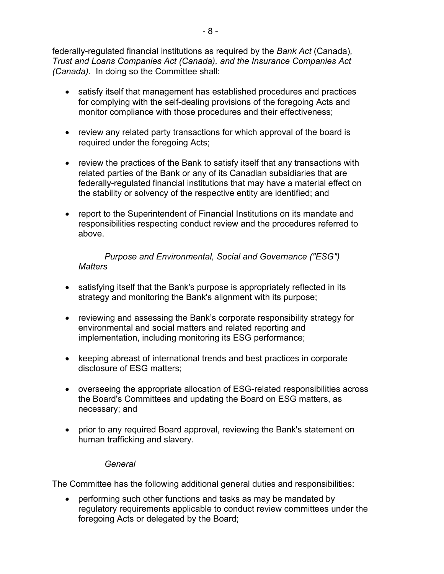federally-regulated financial institutions as required by the *Bank Act* (Canada)*, Trust and Loans Companies Act (Canada), and the Insurance Companies Act (Canada).* In doing so the Committee shall:

- satisfy itself that management has established procedures and practices for complying with the self-dealing provisions of the foregoing Acts and monitor compliance with those procedures and their effectiveness;
- review any related party transactions for which approval of the board is required under the foregoing Acts;
- review the practices of the Bank to satisfy itself that any transactions with related parties of the Bank or any of its Canadian subsidiaries that are federally-regulated financial institutions that may have a material effect on the stability or solvency of the respective entity are identified; and
- report to the Superintendent of Financial Institutions on its mandate and responsibilities respecting conduct review and the procedures referred to above.

*Purpose and Environmental, Social and Governance ("ESG") Matters*

- satisfying itself that the Bank's purpose is appropriately reflected in its strategy and monitoring the Bank's alignment with its purpose;
- reviewing and assessing the Bank's corporate responsibility strategy for environmental and social matters and related reporting and implementation, including monitoring its ESG performance;
- keeping abreast of international trends and best practices in corporate disclosure of ESG matters;
- overseeing the appropriate allocation of ESG-related responsibilities across the Board's Committees and updating the Board on ESG matters, as necessary; and
- prior to any required Board approval, reviewing the Bank's statement on human trafficking and slavery.

## *General*

The Committee has the following additional general duties and responsibilities:

• performing such other functions and tasks as may be mandated by regulatory requirements applicable to conduct review committees under the foregoing Acts or delegated by the Board;